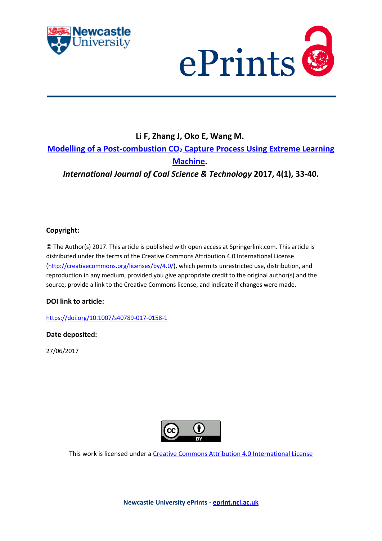



# **Li F, Zhang J, Oko E, Wang M. Modelling of a Post-combustion CO<sup>2</sup> [Capture Process Using Extreme Learning](javascript:ViewPublication(232300);)  [Machine.](javascript:ViewPublication(232300);)** *International Journal of Coal Science & Technology* **2017, 4(1), 33-40.**

# **Copyright:**

© The Author(s) 2017. This article is published with open access at Springerlink.com. This article is distributed under the terms of the Creative Commons Attribution 4.0 International License [\(http://creativecommons.org/licenses/by/4.0/\)](http://creativecommons.org/licenses/by/4.0/), which permits unrestricted use, distribution, and reproduction in any medium, provided you give appropriate credit to the original author(s) and the source, provide a link to the Creative Commons license, and indicate if changes were made.

## **DOI link to article:**

<https://doi.org/10.1007/s40789-017-0158-1>

## **Date deposited:**

27/06/2017



This work is licensed under [a Creative Commons Attribution 4.0 International License](http://creativecommons.org/licenses/by/4.0/)

**Newcastle University ePrints - [eprint.ncl.ac.uk](http://eprint.ncl.ac.uk/)**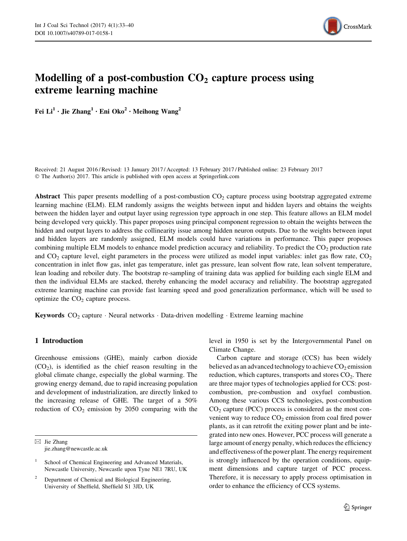

# <span id="page-1-0"></span>Modelling of a post-combustion  $CO<sub>2</sub>$  capture process using extreme learning machine

Fei  $Li^1 \cdot$  Jie Zhang<sup>1</sup> · Eni Oko<sup>2</sup> · Meihong Wang<sup>2</sup>

Received: 21 August 2016 / Revised: 13 January 2017 / Accepted: 13 February 2017 / Published online: 23 February 2017 © The Author(s) 2017. This article is published with open access at Springerlink.com

Abstract This paper presents modelling of a post-combustion  $CO<sub>2</sub>$  capture process using bootstrap aggregated extreme learning machine (ELM). ELM randomly assigns the weights between input and hidden layers and obtains the weights between the hidden layer and output layer using regression type approach in one step. This feature allows an ELM model being developed very quickly. This paper proposes using principal component regression to obtain the weights between the hidden and output layers to address the collinearity issue among hidden neuron outputs. Due to the weights between input and hidden layers are randomly assigned, ELM models could have variations in performance. This paper proposes combining multiple ELM models to enhance model prediction accuracy and reliability. To predict the  $CO<sub>2</sub>$  production rate and  $CO<sub>2</sub>$  capture level, eight parameters in the process were utilized as model input variables: inlet gas flow rate,  $CO<sub>2</sub>$ concentration in inlet flow gas, inlet gas temperature, inlet gas pressure, lean solvent flow rate, lean solvent temperature, lean loading and reboiler duty. The bootstrap re-sampling of training data was applied for building each single ELM and then the individual ELMs are stacked, thereby enhancing the model accuracy and reliability. The bootstrap aggregated extreme learning machine can provide fast learning speed and good generalization performance, which will be used to optimize the  $CO<sub>2</sub>$  capture process.

**Keywords**  $CO_2$  capture  $\cdot$  Neural networks  $\cdot$  Data-driven modelling  $\cdot$  Extreme learning machine

### 1 Introduction

Greenhouse emissions (GHE), mainly carbon dioxide  $(CO<sub>2</sub>)$ , is identified as the chief reason resulting in the global climate change, especially the global warming. The growing energy demand, due to rapid increasing population and development of industrialization, are directly linked to the increasing release of GHE. The target of a 50% reduction of  $CO<sub>2</sub>$  emission by 2050 comparing with the

 $\boxtimes$  Jie Zhang jie.zhang@newcastle.ac.uk

<sup>2</sup> Department of Chemical and Biological Engineering, University of Sheffield, Sheffield S1 3JD, UK

level in 1950 is set by the Intergovernmental Panel on Climate Change.

Carbon capture and storage (CCS) has been widely believed as an advanced technology to achieve  $CO<sub>2</sub>$  emission reduction, which captures, transports and stores  $CO<sub>2</sub>$ . There are three major types of technologies applied for CCS: postcombustion, pre-combustion and oxyfuel combustion. Among these various CCS technologies, post-combustion  $CO<sub>2</sub>$  capture (PCC) process is considered as the most convenient way to reduce  $CO<sub>2</sub>$  emission from coal fired power plants, as it can retrofit the exiting power plant and be integrated into new ones. However, PCC process will generate a large amount of energy penalty, which reduces the efficiency and effectiveness of the power plant. The energy requirement is strongly influenced by the operation conditions, equipment dimensions and capture target of PCC process. Therefore, it is necessary to apply process optimisation in order to enhance the efficiency of CCS systems.

School of Chemical Engineering and Advanced Materials, Newcastle University, Newcastle upon Tyne NE1 7RU, UK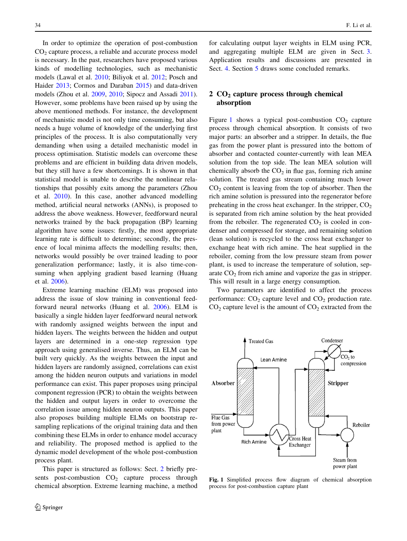In order to optimize the operation of post-combustion CO2 capture process, a reliable and accurate process model is necessary. In the past, researchers have proposed various kinds of modelling technologies, such as mechanistic models (Lawal et al. [2010](#page-8-0); Biliyok et al. [2012;](#page-8-0) Posch and Haider [2013;](#page-8-0) Cormos and Daraban [2015\)](#page-8-0) and data-driven models (Zhou et al. [2009,](#page-8-0) [2010](#page-8-0); Sipocz and Assadi [2011](#page-8-0)). However, some problems have been raised up by using the above mentioned methods. For instance, the development of mechanistic model is not only time consuming, but also needs a huge volume of knowledge of the underlying first principles of the process. It is also computationally very demanding when using a detailed mechanistic model in process optimisation. Statistic models can overcome these problems and are efficient in building data driven models, but they still have a few shortcomings. It is shown in that statistical model is unable to describe the nonlinear relationships that possibly exits among the parameters (Zhou et al. [2010](#page-8-0)). In this case, another advanced modelling method, artificial neural networks (ANNs), is proposed to address the above weakness. However, feedforward neural networks trained by the back propagation (BP) learning algorithm have some issues: firstly, the most appropriate learning rate is difficult to determine; secondly, the presence of local minima affects the modelling results; then, networks would possibly be over trained leading to poor generalization performance; lastly, it is also time-consuming when applying gradient based learning (Huang et al. [2006\)](#page-8-0).

Extreme learning machine (ELM) was proposed into address the issue of slow training in conventional feedforward neural networks (Huang et al. [2006](#page-8-0)). ELM is basically a single hidden layer feedforward neural network with randomly assigned weights between the input and hidden layers. The weights between the hidden and output layers are determined in a one-step regression type approach using generalised inverse. Thus, an ELM can be built very quickly. As the weights between the input and hidden layers are randomly assigned, correlations can exist among the hidden neuron outputs and variations in model performance can exist. This paper proposes using principal component regression (PCR) to obtain the weights between the hidden and output layers in order to overcome the correlation issue among hidden neuron outputs. This paper also proposes building multiple ELMs on bootstrap resampling replications of the original training data and then combining these ELMs in order to enhance model accuracy and reliability. The proposed method is applied to the dynamic model development of the whole post-combustion process plant.

This paper is structured as follows: Sect. 2 briefly presents post-combustion  $CO<sub>2</sub>$  capture process through chemical absorption. Extreme learning machine, a method for calculating output layer weights in ELM using PCR, and aggregating multiple ELM are given in Sect. [3.](#page-3-0) Application results and discussions are presented in Sect. [4](#page-5-0). Section [5](#page-1-0) draws some concluded remarks.

### $2 CO<sub>2</sub>$  capture process through chemical absorption

Figure 1 shows a typical post-combustion  $CO<sub>2</sub>$  capture process through chemical absorption. It consists of two major parts: an absorber and a stripper. In details, the flue gas from the power plant is pressured into the bottom of absorber and contacted counter-currently with lean MEA solution from the top side. The lean MEA solution will chemically absorb the  $CO<sub>2</sub>$  in flue gas, forming rich amine solution. The treated gas stream containing much lower  $CO<sub>2</sub>$  content is leaving from the top of absorber. Then the rich amine solution is pressured into the regenerator before preheating in the cross heat exchanger. In the stripper,  $CO<sub>2</sub>$ is separated from rich amine solution by the heat provided from the reboiler. The regenerated  $CO<sub>2</sub>$  is cooled in condenser and compressed for storage, and remaining solution (lean solution) is recycled to the cross heat exchanger to exchange heat with rich amine. The heat supplied in the reboiler, coming from the low pressure steam from power plant, is used to increase the temperature of solution, separate  $CO<sub>2</sub>$  from rich amine and vaporize the gas in stripper. This will result in a large energy consumption.

Two parameters are identified to affect the process performance:  $CO<sub>2</sub>$  capture level and  $CO<sub>2</sub>$  production rate.  $CO<sub>2</sub>$  capture level is the amount of  $CO<sub>2</sub>$  extracted from the



Fig. 1 Simplified process flow diagram of chemical absorption process for post-combustion capture plant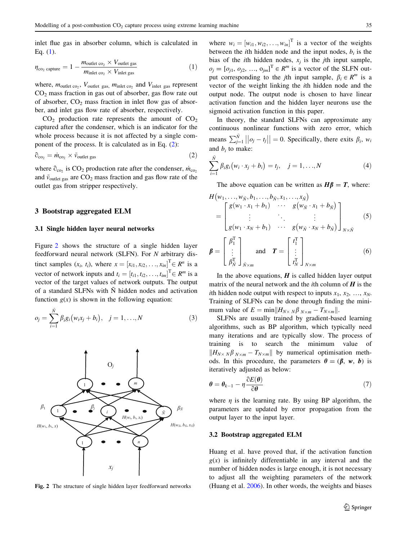<span id="page-3-0"></span>inlet flue gas in absorber column, which is calculated in Eq. (1).

$$
\eta_{\text{co}_2 \text{ capture}} = 1 - \frac{m_{\text{outlet co}_2} \times V_{\text{outlet gas}}}{m_{\text{inlet co}_2} \times V_{\text{inlet gas}}}
$$
(1)

where,  $m_{\text{outlet co_2}}$ ,  $V_{\text{outlet gas}}$ ,  $m_{\text{inlet co_2}}$  and  $V_{\text{inlet gas}}$  represent  $CO<sub>2</sub>$  mass fraction in gas out of absorber, gas flow rate out of absorber,  $CO<sub>2</sub>$  mass fraction in inlet flow gas of absorber, and inlet gas flow rate of absorber, respectively.

 $CO<sub>2</sub>$  production rate represents the amount of  $CO<sub>2</sub>$ captured after the condenser, which is an indicator for the whole process because it is not affected by a single component of the process. It is calculated as in Eq. (2):

$$
\partial_{\rm co_2} = \dot{m}_{\rm co_2} \times \tilde{v}_{\rm outlet\ gas} \tag{2}
$$

where  $\hat{\sigma}_{\text{co}}$ , is CO<sub>2</sub> production rate after the condenser,  $\dot{m}_{\text{co}_2}$ and  $\tilde{v}_{\text{outlet gas}}$  are  $CO_2$  mass fraction and gas flow rate of the outlet gas from stripper respectively.

#### 3 Bootstrap aggregated ELM

#### 3.1 Single hidden layer neural networks

Figure 2 shows the structure of a single hidden layer feedforward neural network (SLFN). For N arbitrary distinct samples  $(x_i, t_i)$ , where  $x = [x_{i1}, x_{i2}, \ldots, x_{in}]^T \in R^n$  is a vector of network inputs and  $t_i = [t_{i1}, t_{i2}, \dots, t_{im}]^T \in R^m$  is a vector of the target values of network outputs. The output of a standard SLFNs with  $\tilde{N}$  hidden nodes and activation function  $g(x)$  is shown in the following equation:

$$
o_j = \sum_{i=1}^{\tilde{N}} \beta_i g_i (w_i x_j + b_i), \quad j = 1, ..., N
$$
 (3)



Fig. 2 The structure of single hidden layer feedforward networks

where  $w_i = [w_{i1}, w_{i2}, \dots, w_{in}]^T$  is a vector of the weights between the *i*th hidden node and the input nodes,  $b_i$  is the bias of the *i*th hidden nodes,  $x_i$  is the *j*th input sample,  $o_j = [o_{j1}, o_{j2}, ..., o_{jm}]^T \in R^m$  is a vector of the SLFN output corresponding to the *j*th input sample,  $\beta_i \in R^m$  is a vector of the weight linking the ith hidden node and the output node. The output node is chosen to have linear activation function and the hidden layer neurons use the sigmoid activation function in this paper.

In theory, the standard SLFNs can approximate any continuous nonlinear functions with zero error, which means  $\sum_{j=1}^{\tilde{N}} ||o_j - t_j|| = 0$ . Specifically, there exits  $\beta_i$ ,  $w_i$ and  $b_i$  to make:

$$
\sum_{i=1}^{\tilde{N}} \beta_i g_i (w_i \cdot x_j + b_i) = t_j, \quad j = 1, ..., N
$$
 (4)

The above equation can be written as  $H\beta = T$ , where:

$$
H(w_1, \ldots, w_{\tilde{N}}, b_1, \ldots, b_{\tilde{N}}, x_1, \ldots, x_{\tilde{N}})
$$
\n
$$
= \begin{bmatrix}\ng(w_1 \cdot x_1 + b_1) & \cdots & g(w_{\tilde{N}} \cdot x_1 + b_{\tilde{N}}) \\
\vdots & \ddots & \vdots \\
g(w_1 \cdot x_N + b_1) & \cdots & g(w_{\tilde{N}} \cdot x_N + b_{\tilde{N}})\n\end{bmatrix}_{N \times \tilde{N}}
$$
\n
$$
\beta = \begin{bmatrix}\n\beta_1^T \\
\vdots \\
\beta_N^T\n\end{bmatrix}_{\tilde{N} \times m} \text{ and } T = \begin{bmatrix}\nf_1^T \\
\vdots \\
f_N^T\n\end{bmatrix}_{N \times m}
$$
\n(6)

In the above equations,  $H$  is called hidden layer output matrix of the neural network and the *i*th column of  $H$  is the ith hidden node output with respect to inputs  $x_1, x_2, ..., x_N$ . Training of SLFNs can be done through finding the minimum value of  $E = \min ||H_{N \times N} \beta_{N \times m} - T_{N \times m}||$ .

SLFNs are usually trained by gradient-based learning algorithms, such as BP algorithm, which typically need many iterations and are typically slow. The process of training is to search the minimum value of  $\|H_{N\times N}\beta_{N\times m}-T_{N\times m}\|$  by numerical optimisation methods. In this procedure, the parameters  $\theta = (\beta, w, b)$  is iteratively adjusted as below:

$$
\boldsymbol{\theta} = \boldsymbol{\theta}_{k-1} - \eta \frac{\partial E(\boldsymbol{\theta})}{\partial \boldsymbol{\theta}}
$$
\n(7)

where  $\eta$  is the learning rate. By using BP algorithm, the parameters are updated by error propagation from the output layer to the input layer.

#### 3.2 Bootstrap aggregated ELM

Huang et al. have proved that, if the activation function  $g(x)$  is infinitely differentiable in any interval and the number of hidden nodes is large enough, it is not necessary to adjust all the weighting parameters of the network (Huang et al. [2006](#page-8-0)). In other words, the weights and biases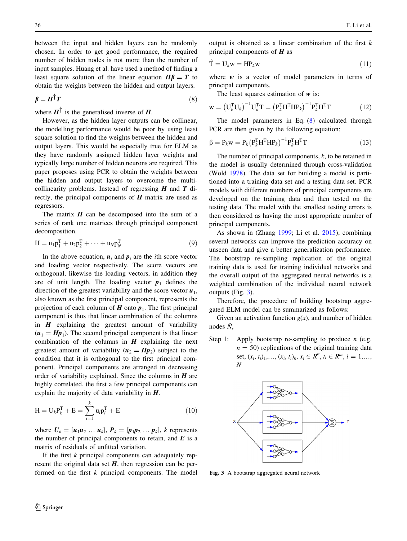between the input and hidden layers can be randomly chosen. In order to get good performance, the required number of hidden nodes is not more than the number of input samples. Huang et al. have used a method of finding a least square solution of the linear equation  $H\beta = T$  to obtain the weights between the hidden and output layers.

$$
\beta = H^{\dagger} T \tag{8}
$$

where  $H^{\dagger}$  is the generalised inverse of H.

However, as the hidden layer outputs can be collinear, the modelling performance would be poor by using least square solution to find the weights between the hidden and output layers. This would be especially true for ELM as they have randomly assigned hidden layer weights and typically large number of hidden neurons are required. This paper proposes using PCR to obtain the weights between the hidden and output layers to overcome the multicollinearity problems. Instead of regressing  $H$  and  $T$  directly, the principal components of  $H$  matrix are used as regressors.

The matrix  $H$  can be decomposed into the sum of a series of rank one matrices through principal component decomposition.

$$
H = u_1 p_1^T + u_2 p_2^T + \dots + u_N p_N^T
$$
 (9)

In the above equation,  $u_i$  and  $p_i$  are the *i*th score vector and loading vector respectively. The score vectors are orthogonal, likewise the loading vectors, in addition they are of unit length. The loading vector  $p_1$  defines the direction of the greatest variability and the score vector  $u_1$ , also known as the first principal component, represents the projection of each column of  $H$  onto  $p_1$ . The first principal component is thus that linear combination of the columns in  $H$  explaining the greatest amount of variability  $(u_1 = Hp_1)$ . The second principal component is that linear combination of the columns in  $H$  explaining the next greatest amount of variability  $(u_2 = Hp_2)$  subject to the condition that it is orthogonal to the first principal component. Principal components are arranged in decreasing order of variability explained. Since the columns in  $H$  are highly correlated, the first a few principal components can explain the majority of data variability in  $H$ .

$$
H = U_k P_k^T + E = \sum_{i=1}^k u_i p_i^T + E
$$
 (10)

where  $U_k = [u_1u_2 \dots u_k]$ ,  $P_k = [p_1p_2 \dots p_k]$ , k represents the number of principal components to retain, and  $E$  is a matrix of residuals of unfitted variation.

If the first  $k$  principal components can adequately represent the original data set  $H$ , then regression can be performed on the first  $k$  principal components. The model output is obtained as a linear combination of the first  $k$ principal components of  $H$  as

$$
\hat{\mathbf{T}} = \mathbf{U}_k \mathbf{w} = \mathbf{H} \mathbf{P}_k \mathbf{w} \tag{11}
$$

where  $w$  is a vector of model parameters in terms of principal components.

The least squares estimation of  $w$  is:

$$
\mathbf{w} = \left(\mathbf{U}_{k}^{\mathrm{T}}\mathbf{U}_{k}\right)^{-1}\mathbf{U}_{k}^{\mathrm{T}}\mathbf{T} = \left(\mathbf{P}_{k}^{\mathrm{T}}\mathbf{H}^{\mathrm{T}}\mathbf{H}\mathbf{P}_{k}\right)^{-1}\mathbf{P}_{k}^{\mathrm{T}}\mathbf{H}^{\mathrm{T}}\mathbf{T} \tag{12}
$$

The model parameters in Eq. (8) calculated through PCR are then given by the following equation:

$$
\beta = P_k w = P_k (P_k^T H^T H P_k)^{-1} P_k^T H^T T \qquad (13)
$$

The number of principal components,  $k$ , to be retained in the model is usually determined through cross-validation (Wold [1978\)](#page-8-0). The data set for building a model is partitioned into a training data set and a testing data set. PCR models with different numbers of principal components are developed on the training data and then tested on the testing data. The model with the smallest testing errors is then considered as having the most appropriate number of principal components.

As shown in (Zhang [1999](#page-8-0); Li et al. [2015\)](#page-8-0), combining several networks can improve the prediction accuracy on unseen data and give a better generalization performance. The bootstrap re-sampling replication of the original training data is used for training individual networks and the overall output of the aggregated neural networks is a weighted combination of the individual neural network outputs (Fig. 3).

Therefore, the procedure of building bootstrap aggregated ELM model can be summarized as follows:

Given an activation function  $g(x)$ , and number of hidden nodes  $\tilde{N}$ ,

Step 1: Apply bootstrap re-sampling to produce  $n$  (e.g.  $n = 50$ ) replications of the original training data set,  $(x_i, t_i)_1, ..., (x_i, t_i)_n, x_i \in R^n, t_i \in R^m, i = 1, ...,$ N



Fig. 3 A bootstrap aggregated neural network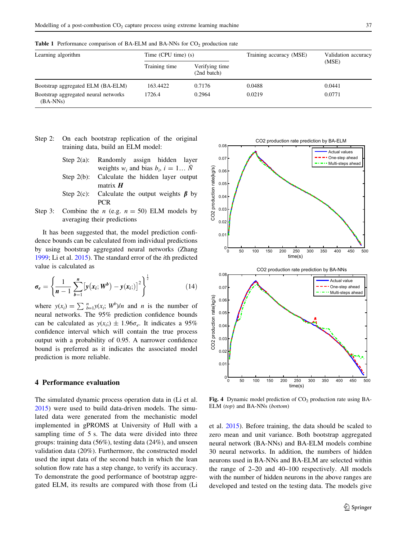| Learning algorithm                                 | Time $(CPU$ time) $(s)$ |                               | Training accuracy (MSE) | Validation accuracy |
|----------------------------------------------------|-------------------------|-------------------------------|-------------------------|---------------------|
|                                                    | Training time           | Verifying time<br>(2nd batch) |                         | (MSE)               |
| Bootstrap aggregated ELM (BA-ELM)                  | 163.4422                | 0.7176                        | 0.0488                  | 0.0441              |
| Bootstrap aggregated neural networks<br>$(BA-NNs)$ | 1726.4                  | 0.2964                        | 0.0219                  | 0.0771              |

<span id="page-5-0"></span>**Table 1** Performance comparison of BA-ELM and BA-NNs for  $CO<sub>2</sub>$  production rate

- Step 2: On each bootstrap replication of the original training data, build an ELM model:
	- Step 2(a): Randomly assign hidden layer weights  $w_i$  and bias  $b_i$ ,  $i = 1... N$ Step 2(b): Calculate the hidden layer output matrix  $H$ Step 2(c): Calculate the output weights  $\beta$  by
- Step 3: Combine the *n* (e.g.  $n = 50$ ) ELM models by averaging their predictions

**PCR** 

It has been suggested that, the model prediction confidence bounds can be calculated from individual predictions by using bootstrap aggregated neural networks (Zhang [1999;](#page-8-0) Li et al. [2015](#page-8-0)). The standard error of the ith predicted value is calculated as

$$
\sigma_e = \left\{ \frac{1}{n-1} \sum_{b=1}^n \left[ y(x_i; W^b) - y(x_i;)\right]^2 \right\}^{\frac{1}{2}}
$$
(14)

where  $y(x_i) = \sum_{b=1}^{n} y(x_i; W^b)/n$  and *n* is the number of neural networks. The 95% prediction confidence bounds can be calculated as  $y(x_i) \pm 1.96\sigma_e$ . It indicates a 95% confidence interval which will contain the true process output with a probability of 0.95. A narrower confidence bound is preferred as it indicates the associated model prediction is more reliable.

#### 4 Performance evaluation

The simulated dynamic process operation data in (Li et al. [2015\)](#page-8-0) were used to build data-driven models. The simulated data were generated from the mechanistic model implemented in gPROMS at University of Hull with a sampling time of 5 s. The data were divided into three groups: training data (56%), testing data (24%), and unseen validation data (20%). Furthermore, the constructed model used the input data of the second batch in which the lean solution flow rate has a step change, to verify its accuracy. To demonstrate the good performance of bootstrap aggregated ELM, its results are compared with those from (Li



Fig. 4 Dynamic model prediction of  $CO<sub>2</sub>$  production rate using BA-ELM (top) and BA-NNs (bottom)

et al. [2015](#page-8-0)). Before training, the data should be scaled to zero mean and unit variance. Both bootstrap aggregated neural network (BA-NNs) and BA-ELM models combine 30 neural networks. In addition, the numbers of hidden neurons used in BA-NNs and BA-ELM are selected within the range of 2–20 and 40–100 respectively. All models with the number of hidden neurons in the above ranges are developed and tested on the testing data. The models give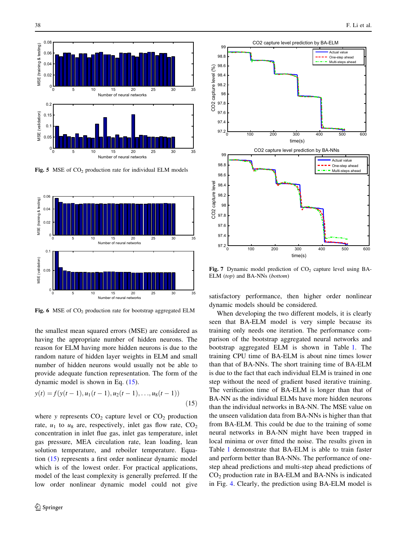<span id="page-6-0"></span>

Fig. 5 MSE of  $CO<sub>2</sub>$  production rate for individual ELM models



Fig. 6 MSE of  $CO<sub>2</sub>$  production rate for bootstrap aggregated ELM

the smallest mean squared errors (MSE) are considered as having the appropriate number of hidden neurons. The reason for ELM having more hidden neurons is due to the random nature of hidden layer weights in ELM and small number of hidden neurons would usually not be able to provide adequate function representation. The form of the dynamic model is shown in Eq. (15).

$$
y(t) = f(y(t-1), u_1(t-1), u_2(t-1), \dots, u_8(t-1))
$$
\n(15)

where y represents  $CO<sub>2</sub>$  capture level or  $CO<sub>2</sub>$  production rate,  $u_1$  to  $u_8$  are, respectively, inlet gas flow rate,  $CO_2$ concentration in inlet flue gas, inlet gas temperature, inlet gas pressure, MEA circulation rate, lean loading, lean solution temperature, and reboiler temperature. Equation (15) represents a first order nonlinear dynamic model which is of the lowest order. For practical applications, model of the least complexity is generally preferred. If the low order nonlinear dynamic model could not give



Fig. 7 Dynamic model prediction of  $CO<sub>2</sub>$  capture level using BA-ELM (top) and BA-NNs (bottom)

satisfactory performance, then higher order nonlinear dynamic models should be considered.

When developing the two different models, it is clearly seen that BA-ELM model is very simple because its training only needs one iteration. The performance comparison of the bootstrap aggregated neural networks and bootstrap aggregated ELM is shown in Table [1.](#page-5-0) The training CPU time of BA-ELM is about nine times lower than that of BA-NNs. The short training time of BA-ELM is due to the fact that each individual ELM is trained in one step without the need of gradient based iterative training. The verification time of BA-ELM is longer than that of BA-NN as the individual ELMs have more hidden neurons than the individual networks in BA-NN. The MSE value on the unseen validation data from BA-NNs is higher than that from BA-ELM. This could be due to the training of some neural networks in BA-NN might have been trapped in local minima or over fitted the noise. The results given in Table [1](#page-5-0) demonstrate that BA-ELM is able to train faster and perform better than BA-NNs. The performance of onestep ahead predictions and multi-step ahead predictions of  $CO<sub>2</sub>$  production rate in BA-ELM and BA-NNs is indicated in Fig. [4](#page-5-0). Clearly, the prediction using BA-ELM model is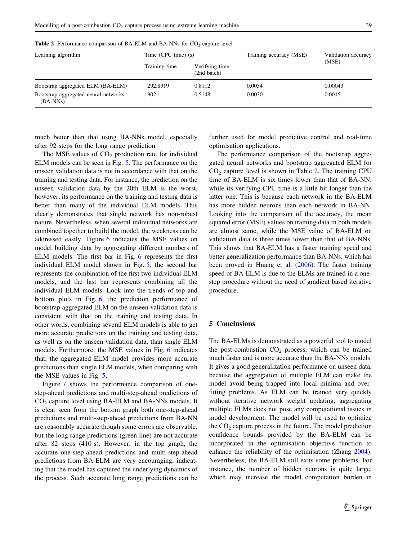| Learning algorithm                                 | Time $(CPU$ time) $(s)$ |                               | Training accuracy (MSE) | Validation accuracy |
|----------------------------------------------------|-------------------------|-------------------------------|-------------------------|---------------------|
|                                                    | Training time           | Verifying time<br>(2nd batch) |                         | (MSE)               |
| Bootstrap aggregated ELM (BA-ELM)                  | 292.8919                | 0.8112                        | 0.0034                  | 0.00043             |
| Bootstrap aggregated neural networks<br>$(BA-NNs)$ | 1902.1                  | 0.5148                        | 0.0030                  | 0.0015              |

Table 2 Performance comparison of BA-ELM and BA-NNs for  $CO<sub>2</sub>$  capture level

much better than that using BA-NNs model, especially after 92 steps for the long range prediction.

The MSE values of  $CO<sub>2</sub>$  production rate for individual ELM models can be seen in Fig. [5.](#page-6-0) The performance on the unseen validation data is not in accordance with that on the training and testing data. For instance, the prediction on the unseen validation data by the 20th ELM is the worst, however, its performance on the training and testing data is better than many of the individual ELM models. This clearly demonstrates that single network has non-robust nature. Nevertheless, when several individual networks are combined together to build the model, the weakness can be addressed easily. Figure [6](#page-6-0) indicates the MSE values on model building data by aggregating different numbers of ELM models. The first bar in Fig. [6](#page-6-0) represents the first individual ELM model shown in Fig. [5,](#page-6-0) the second bar represents the combination of the first two individual ELM models, and the last bar represents combining all the individual ELM models. Look into the trends of top and bottom plots in Fig. [6,](#page-6-0) the prediction performance of bootstrap aggregated ELM on the unseen validation data is consistent with that on the training and testing data. In other words, combining several ELM models is able to get more accurate predictions on the training and testing data, as well as on the unseen validation data, than single ELM models. Furthermore, the MSE values in Fig. [6](#page-6-0) indicates that, the aggregated ELM model provides more accurate predictions than single ELM models, when comparing with the MSE values in Fig. [5.](#page-6-0)

Figure [7](#page-6-0) shows the performance comparison of onestep-ahead predictions and multi-step-ahead predictions of  $CO<sub>2</sub>$  capture level using BA-ELM and BA-NNs models. It is clear seen from the bottom graph both one-step-ahead predictions and multi-step-ahead predictions from BA-NN are reasonably accurate though some errors are observable, but the long range predictions (green line) are not accurate after 82 steps (410 s). However, in the top graph, the accurate one-step-ahead predictions and multi-step-ahead predictions from BA-ELM are very encouraging, indicating that the model has captured the underlying dynamics of the process. Such accurate long range predictions can be further used for model predictive control and real-time optimisation applications.

The performance comparison of the bootstrap aggregated neural networks and bootstrap aggregated ELM for  $CO<sub>2</sub>$  capture level is shown in Table 2. The training CPU time of BA-ELM is six times lower than that of BA-NN, while its verifying CPU time is a little bit longer than the latter one. This is because each network in the BA-ELM has more hidden neurons than each network in BA-NN. Looking into the comparison of the accuracy, the mean squared error (MSE) values on training data in both models are almost same, while the MSE value of BA-ELM on validation data is three times lower than that of BA-NNs. This shows that BA-ELM has a faster training speed and better generalization performance than BA-NNs, which has been proved in Huang et al. ([2006](#page-8-0)). The faster training speed of BA-ELM is due to the ELMs are trained in a onestep procedure without the need of gradient based iterative procedure.

#### 5 Conclusions

The BA-ELMs is demonstrated as a powerful tool to model the post-combustion  $CO<sub>2</sub>$  process, which can be trained much faster and is more accurate than the BA-NNs models. It gives a good generalization performance on unseen data, because the aggregation of multiple ELM can make the model avoid being trapped into local minima and overfitting problems. As ELM can be trained very quickly without iterative network weight updating, aggregating multiple ELMs does not pose any computational issues in model development. The model will be used to optimize the  $CO<sub>2</sub>$  capture process in the future. The model prediction confidence bounds provided by the BA-ELM can be incorporated in the optimisation objective function to enhance the reliability of the optimisation (Zhang [2004](#page-8-0)). Nevertheless, the BA-ELM still exits some problems. For instance, the number of hidden neurons is quite large, which may increase the model computation burden in